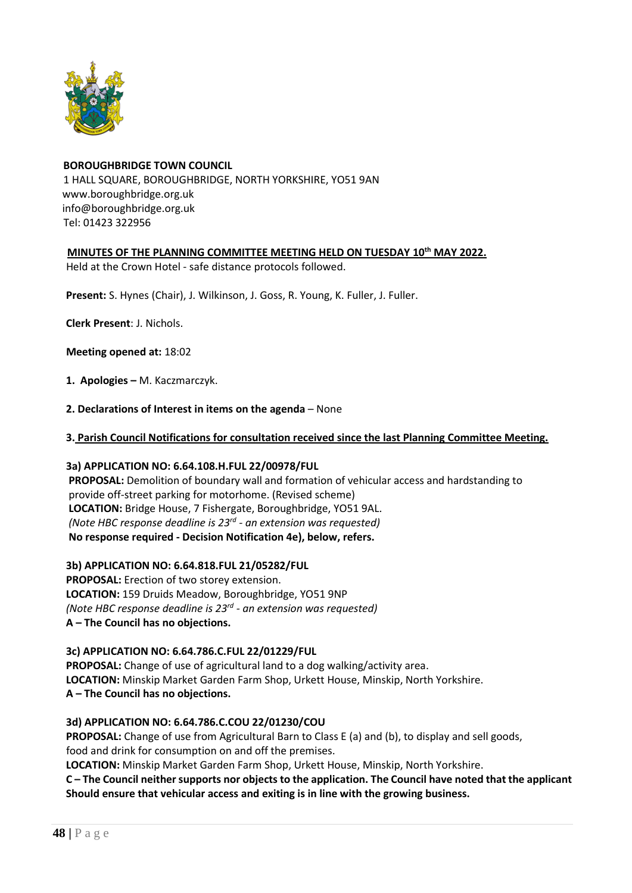

# **BOROUGHBRIDGE TOWN COUNCIL** 1 HALL SQUARE, BOROUGHBRIDGE, NORTH YORKSHIRE, YO51 9AN [www.boroughbridge.org.uk](http://www.boroughbridge.org.uk/) [info@boroughbridge.org.uk](mailto:info@boroughbridge.org.uk) Tel: 01423 322956

## **MINUTES OF THE PLANNING COMMITTEE MEETING HELD ON TUESDAY 10th MAY 2022.**

Held at the Crown Hotel - safe distance protocols followed.

 **Present:** S. Hynes (Chair), J. Wilkinson, J. Goss, R. Young, K. Fuller, J. Fuller.

 **Clerk Present**: J. Nichols.

 **Meeting opened at:** 18:02

- **1. Apologies –** M. Kaczmarczyk.
- **2. Declarations of Interest in items on the agenda** None
- **3. Parish Council Notifications for consultation received since the last Planning Committee Meeting.**

#### **3a) APPLICATION NO: 6.64.108.H.FUL 22/00978/FUL**

 **PROPOSAL:** Demolition of boundary wall and formation of vehicular access and hardstanding to provide off-street parking for motorhome. (Revised scheme)  **LOCATION:** Bridge House, 7 Fishergate, Boroughbridge, YO51 9AL. *(Note HBC response deadline is 23rd - an extension was requested)* **No response required - Decision Notification 4e), below, refers.**

#### **3b) APPLICATION NO: 6.64.818.FUL 21/05282/FUL**

 **PROPOSAL:** Erection of two storey extension.  **LOCATION:** 159 Druids Meadow, Boroughbridge, YO51 9NP *(Note HBC response deadline is 23rd - an extension was requested)*   **A – The Council has no objections.**

 **3c) APPLICATION NO: 6.64.786.C.FUL 22/01229/FUL**

 **PROPOSAL:** Change of use of agricultural land to a dog walking/activity area.  **LOCATION:** Minskip Market Garden Farm Shop, Urkett House, Minskip, North Yorkshire.  **A – The Council has no objections.**

## **3d) APPLICATION NO: 6.64.786.C.COU 22/01230/COU**

 **PROPOSAL:** Change of use from Agricultural Barn to Class E (a) and (b), to display and sell goods, food and drink for consumption on and off the premises.

 **LOCATION:** Minskip Market Garden Farm Shop, Urkett House, Minskip, North Yorkshire.

 **C – The Council neither supports nor objects to the application. The Council have noted that the applicant Should ensure that vehicular access and exiting is in line with the growing business.**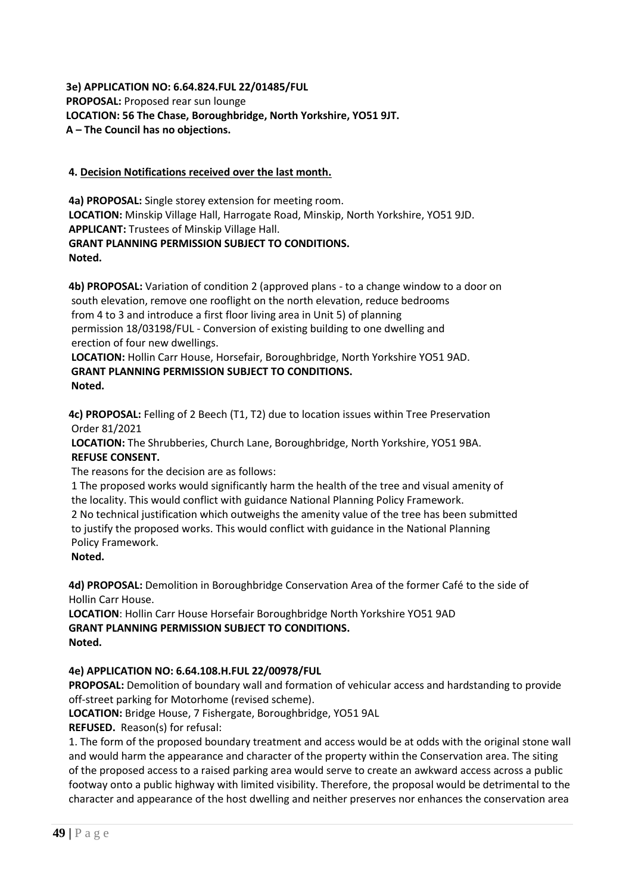## **3e) APPLICATION NO: 6.64.824.FUL 22/01485/FUL PROPOSAL:** Proposed rear sun lounge  **LOCATION: 56 The Chase, Boroughbridge, North Yorkshire, YO51 9JT. A – The Council has no objections.**

## **4. Decision Notifications received over the last month.**

 **4a) PROPOSAL:** Single storey extension for meeting room.  **LOCATION:** Minskip Village Hall, Harrogate Road, Minskip, North Yorkshire, YO51 9JD.  **APPLICANT:** Trustees of Minskip Village Hall.  **GRANT PLANNING PERMISSION SUBJECT TO CONDITIONS. Noted.**

 **4b) PROPOSAL:** Variation of condition 2 (approved plans - to a change window to a door on south elevation, remove one rooflight on the north elevation, reduce bedrooms from 4 to 3 and introduce a first floor living area in Unit 5) of planning permission 18/03198/FUL - Conversion of existing building to one dwelling and erection of four new dwellings.

 **LOCATION:** Hollin Carr House, Horsefair, Boroughbridge, North Yorkshire YO51 9AD.  **GRANT PLANNING PERMISSION SUBJECT TO CONDITIONS. Noted.**

 **4c) PROPOSAL:** Felling of 2 Beech (T1, T2) due to location issues within Tree Preservation Order 81/2021

 **LOCATION:** The Shrubberies, Church Lane, Boroughbridge, North Yorkshire, YO51 9BA.  **REFUSE CONSENT.**

The reasons for the decision are as follows:

 1 The proposed works would significantly harm the health of the tree and visual amenity of the locality. This would conflict with guidance National Planning Policy Framework. 2 No technical justification which outweighs the amenity value of the tree has been submitted to justify the proposed works. This would conflict with guidance in the National Planning Policy Framework.

**Noted.**

 **4d) PROPOSAL:** Demolition in Boroughbridge Conservation Area of the former Café to the side of Hollin Carr House.

 **LOCATION**: Hollin Carr House Horsefair Boroughbridge North Yorkshire YO51 9AD **GRANT PLANNING PERMISSION SUBJECT TO CONDITIONS. Noted.**

## **4e) APPLICATION NO: 6.64.108.H.FUL 22/00978/FUL**

 **PROPOSAL:** Demolition of boundary wall and formation of vehicular access and hardstanding to provide off-street parking for Motorhome (revised scheme).

 **LOCATION:** Bridge House, 7 Fishergate, Boroughbridge, YO51 9AL

 **REFUSED.** Reason(s) for refusal:

 1. The form of the proposed boundary treatment and access would be at odds with the original stone wall and would harm the appearance and character of the property within the Conservation area. The siting of the proposed access to a raised parking area would serve to create an awkward access across a public footway onto a public highway with limited visibility. Therefore, the proposal would be detrimental to the character and appearance of the host dwelling and neither preserves nor enhances the conservation area